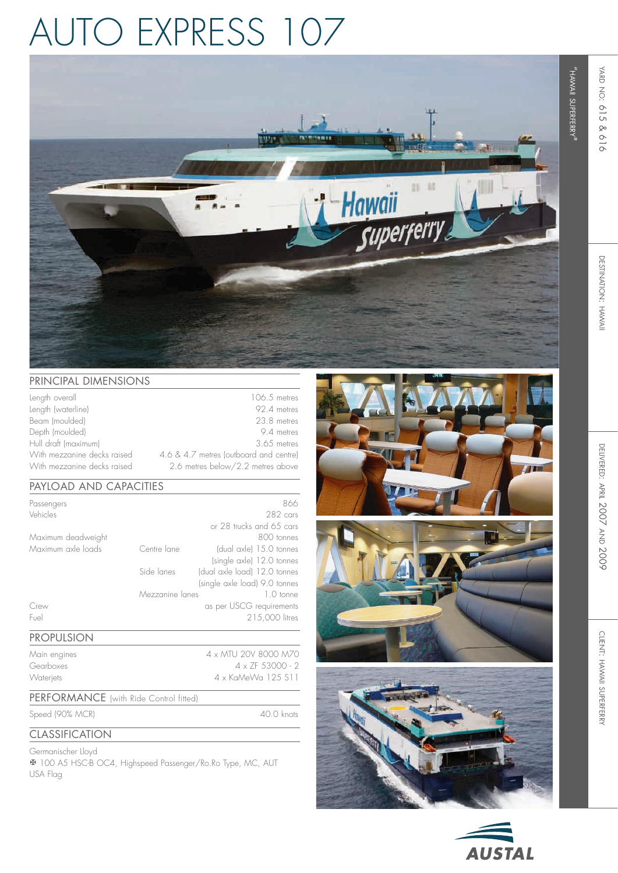# auto express 107



### PRINCIPAL DIMENSIONS

| Length overall              | 106.5 metres                           |
|-----------------------------|----------------------------------------|
| Length (waterline)          | 92.4 metres                            |
| Beam (moulded)              | 23.8 metres                            |
| Depth (moulded)             | 9.4 metres                             |
| Hull draft (maximum)        | 3.65 metres                            |
| With mezzanine decks raised | 4.6 & 4.7 metres (outboard and centre) |
| With mezzanine decks raised | 2.6 metres below/2.2 metres above      |

## Payload and capacities

| Passengers<br>Vehicles |                 | 866<br>282 cars               |
|------------------------|-----------------|-------------------------------|
|                        |                 | or 28 trucks and 65 cars      |
|                        |                 |                               |
| Maximum deadweight     |                 | 800 tonnes                    |
| Maximum axle loads     | Centre lane     | (dual axle) 15.0 tonnes       |
|                        |                 | (single axle) 12.0 tonnes     |
|                        | Side lanes      | (dual axle load) 12.0 tonnes  |
|                        |                 | (single axle load) 9.0 tonnes |
|                        | Mezzanine lanes | 1.0 tonne                     |
| Crew                   |                 | as per USCG requirements      |
| Fuel                   |                 | 215,000 litres                |
|                        |                 |                               |

#### Propulsion

Main engines 4 x MTU 20V 8000 M70 Gearboxes 4 x ZF 53000 - 2 Waterjets 4 x KaMeWa 125 S11

#### PERFORMANCE (with Ride Control fitted)

Speed (90% MC R

**CLASSIFICATION** 

) 40.0 knots

#### Germanischer Lloyd **X** 100 A5 HSC-B OC4, Highspeed Passenger/Ro.Ro Type, MC, A USA Flag